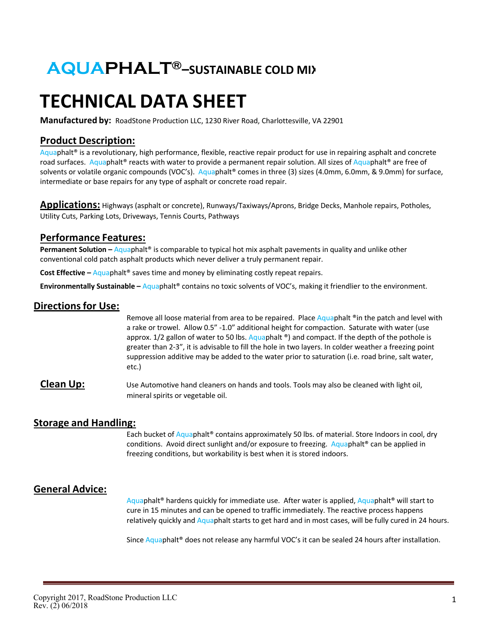# **AQUAPHALT®–SUSTAINABLE COLD MIX**

# **TECHNICAL DATA SHEET**

**Manufactured by:** RoadStone Production LLC, 1230 River Road, Charlottesville, VA 22901

## **Product Description:**

 $Aquaphalt$ <sup>®</sup> is a revolutionary, high performance, flexible, reactive repair product for use in repairing asphalt and concrete road surfaces. Aquaphalt® reacts with water to provide a permanent repair solution. All sizes of Aquaphalt® are free of solvents or volatile organic compounds (VOC's). Aquaphalt® comes in three (3) sizes (4.0mm, 6.0mm, & 9.0mm) for surface, intermediate or base repairs for any type of asphalt or concrete road repair.

**Applications:** Highways (asphalt or concrete), Runways/Taxiways/Aprons, Bridge Decks, Manhole repairs, Potholes, Utility Cuts, Parking Lots, Driveways, Tennis Courts, Pathways

#### **Performance Features:**

**Permanent Solution –** Aquaphalt® is comparable to typical hot mix asphalt pavements in quality and unlike other conventional cold patch asphalt products which never deliver a truly permanent repair.

**Cost Effective** – Aquaphalt<sup>®</sup> saves time and money by eliminating costly repeat repairs.

**Environmentally Sustainable –** Aquaphalt® contains no toxic solvents of VOC's, making it friendlier to the environment.

### **Directions for Use:**

Remove all loose material from area to be repaired. Place Aquaphalt  $\textdegree$  in the patch and level with a rake or trowel. Allow 0.5" -1.0" additional height for compaction. Saturate with water (use approx.  $1/2$  gallon of water to 50 lbs. Aquaphalt  $\degree$ ) and compact. If the depth of the pothole is greater than 2-3", it is advisable to fill the hole in two layers. In colder weather a freezing point suppression additive may be added to the water prior to saturation (i.e. road brine, salt water, etc.)

**Clean Up:** Use Automotive hand cleaners on hands and tools. Tools may also be cleaned with light oil, mineral spirits or vegetable oil.

### **Storage and Handling:**

Each bucket of Aquaphalt<sup>®</sup> contains approximately 50 lbs. of material. Store Indoors in cool, dry conditions. Avoid direct sunlight and/or exposure to freezing. Aquaphalt<sup>®</sup> can be applied in freezing conditions, but workability is best when it is stored indoors.

# **General Advice:**

Aquaphalt® hardens quickly for immediate use. After water is applied, Aquaphalt® will start to cure in 15 minutes and can be opened to traffic immediately. The reactive process happens relatively quickly and Aquaphalt starts to get hard and in most cases, will be fully cured in 24 hours.

Since Aquaphalt<sup>®</sup> does not release any harmful VOC's it can be sealed 24 hours after installation.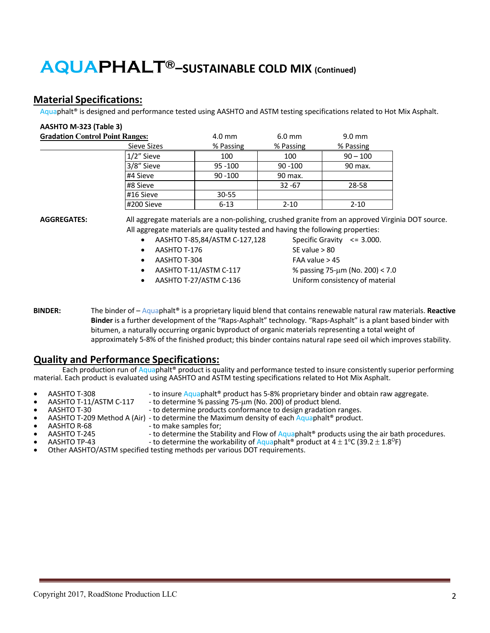# **AQUAPHALT®–SUSTAINABLE COLD MIX (Continued)**

## **Material Specifications:**

Aquaphalt® is designed and performance tested using AASHTO and ASTM testing specifications related to Hot Mix Asphalt.

| AASHTO M-323 (Table 3)                 |            |            |                  |
|----------------------------------------|------------|------------|------------------|
| <b>Gradation Control Point Ranges:</b> | 4.0 mm     | $6.0$ mm   | $9.0 \text{ mm}$ |
| Sieve Sizes                            | % Passing  | % Passing  | % Passing        |
| 1/2" Sieve                             | 100        | 100        | $90 - 100$       |
| 3/8" Sieve                             | $95 - 100$ | $90 - 100$ | 90 max.          |
| #4 Sieve                               | $90 - 100$ | 90 max.    |                  |
| #8 Sieve                               |            | $32 - 67$  | 28-58            |
| #16 Sieve                              | $30 - 55$  |            |                  |
| #200 Sieve                             | $6 - 13$   | $2 - 10$   | $2 - 10$         |

**AGGREGATES:** All aggregate materials are a non-polishing, crushed granite from an approved Virginia DOT source. All aggregate materials are quality tested and having the following properties:

- AASHTO T-85,84/ASTM C-127,128 Specific Gravity  $\leq$  3.000.
- $AASHTO T-176$  SF value  $> 80$
- 
- 
- 

• AASHTO T-304 FAA value > 45 • AASHTO T-11/ASTM C-117 % passing 75-µm (No. 200) < 7.0 • AASHTO T-27/ASTM C-136 Uniform consistency of material

**BINDER:** The binder of – Aquaphalt® is a proprietary liquid blend that contains renewable natural raw materials. **Reactive Binder** is a further development of the "Raps-Asphalt" technology. "Raps-Asphalt" is a plant based binder with bitumen, a naturally occurring organic byproduct of organic materials representing a total weight of approximately 5-8% of the finished product; this binder contains natural rape seed oil which improves stability.

### **Quality and Performance Specifications:**

Each production run of Aquaphalt® product is quality and performance tested to insure consistently superior performing material. Each product is evaluated using AASHTO and ASTM testing specifications related to Hot Mix Asphalt.

- 
- 
- AASHTO T-308 to insure Aquaphalt® product has 5-8% proprietary binder and obtain raw aggregate.<br>• AASHTO T-11/ASTM C-117 to determine % passing 75-μm (No. 200) of product blend.
- 
- AASHTO T-30<br>AASHTO T-209 Method A (Air) to determine the Maximum density of each Aquaphalt® product.<br>AASHTO R-68 to make samples for;
- 
- AASHTO T-245 to determine the Stability and Flow of Aquaphalt® products using the air bath procedures.<br>AASHTO TP-43 to determine the workability of Aquaphalt® product at 4 ± 1°C (39.2 ± 1.8°F)
- - to determine the workability of Aquaphalt<sup>®</sup> product at  $4 \pm 1^{\circ}$ C (39.2  $\pm$  1.8<sup>o</sup>F) • Other AASHTO/ASTM specified testing methods per various DOT requirements.